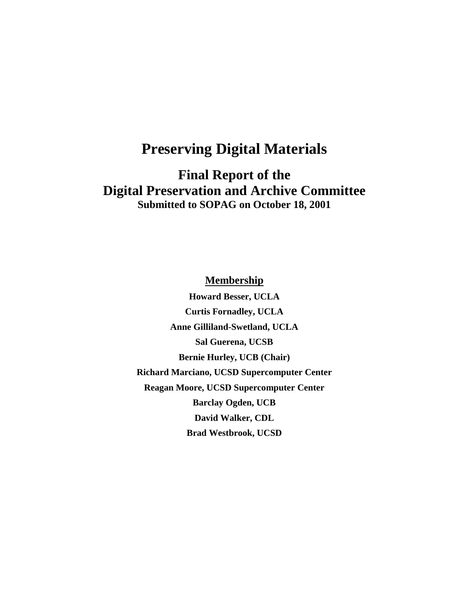# **Preserving Digital Materials**

**Final Report of the Digital Preservation and Archive Committee Submitted to SOPAG on October 18, 2001**

**Membership**

**Howard Besser, UCLA Curtis Fornadley, UCLA Anne Gilliland-Swetland, UCLA Sal Guerena, UCSB Bernie Hurley, UCB (Chair) Richard Marciano, UCSD Supercomputer Center Reagan Moore, UCSD Supercomputer Center Barclay Ogden, UCB David Walker, CDL Brad Westbrook, UCSD**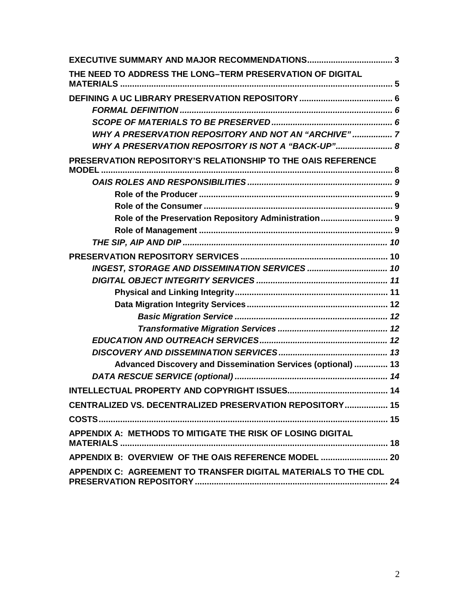| THE NEED TO ADDRESS THE LONG-TERM PRESERVATION OF DIGITAL                    |  |
|------------------------------------------------------------------------------|--|
|                                                                              |  |
|                                                                              |  |
|                                                                              |  |
| WHY A PRESERVATION REPOSITORY AND NOT AN "ARCHIVE" 7                         |  |
| WHY A PRESERVATION REPOSITORY IS NOT A "BACK-UP" 8                           |  |
| PRESERVATION REPOSITORY'S RELATIONSHIP TO THE OAIS REFERENCE<br><b>MODEL</b> |  |
|                                                                              |  |
|                                                                              |  |
|                                                                              |  |
| Role of the Preservation Repository Administration 9                         |  |
|                                                                              |  |
|                                                                              |  |
|                                                                              |  |
|                                                                              |  |
|                                                                              |  |
|                                                                              |  |
|                                                                              |  |
|                                                                              |  |
|                                                                              |  |
|                                                                              |  |
|                                                                              |  |
| Advanced Discovery and Dissemination Services (optional)  13                 |  |
|                                                                              |  |
|                                                                              |  |
| CENTRALIZED VS. DECENTRALIZED PRESERVATION REPOSITORY 15                     |  |
|                                                                              |  |
| APPENDIX A: METHODS TO MITIGATE THE RISK OF LOSING DIGITAL                   |  |
|                                                                              |  |
| APPENDIX C: AGREEMENT TO TRANSFER DIGITAL MATERIALS TO THE CDL               |  |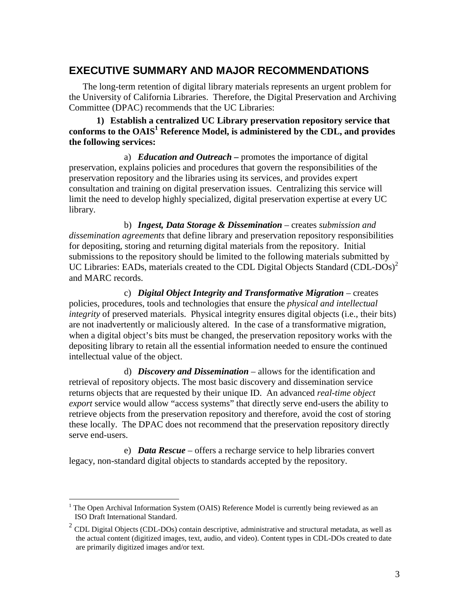# **EXECUTIVE SUMMARY AND MAJOR RECOMMENDATIONS**

The long-term retention of digital library materials represents an urgent problem for the University of California Libraries. Therefore, the Digital Preservation and Archiving Committee (DPAC) recommends that the UC Libraries:

### **1) Establish a centralized UC Library preservation repository service that conforms to the OAIS<sup>1</sup> Reference Model, is administered by the CDL, and provides the following services:**

a) *Education and Outreach –* promotes the importance of digital preservation, explains policies and procedures that govern the responsibilities of the preservation repository and the libraries using its services, and provides expert consultation and training on digital preservation issues. Centralizing this service will limit the need to develop highly specialized, digital preservation expertise at every UC library.

b) *Ingest, Data Storage & Dissemination* – creates *submission and dissemination agreements* that define library and preservation repository responsibilities for depositing, storing and returning digital materials from the repository. Initial submissions to the repository should be limited to the following materials submitted by UC Libraries: EADs, materials created to the CDL Digital Objects Standard (CDL-DOs)<sup>2</sup> and MARC records.

c) *Digital Object Integrity and Transformative Migration* – creates policies, procedures, tools and technologies that ensure the *physical and intellectual integrity* of preserved materials. Physical integrity ensures digital objects (i.e., their bits) are not inadvertently or maliciously altered. In the case of a transformative migration, when a digital object's bits must be changed, the preservation repository works with the depositing library to retain all the essential information needed to ensure the continued intellectual value of the object.

d) *Discovery and Dissemination* – allows for the identification and retrieval of repository objects. The most basic discovery and dissemination service returns objects that are requested by their unique ID. An advanced *real-time object export* service would allow "access systems" that directly serve end-users the ability to retrieve objects from the preservation repository and therefore, avoid the cost of storing these locally. The DPAC does not recommend that the preservation repository directly serve end-users.

e) *Data Rescue* – offers a recharge service to help libraries convert legacy, non-standard digital objects to standards accepted by the repository.

 $\overline{a}$ 

<sup>1</sup> The Open Archival Information System (OAIS) Reference Model is currently being reviewed as an ISO Draft International Standard.

 $2$  CDL Digital Objects (CDL-DOs) contain descriptive, administrative and structural metadata, as well as the actual content (digitized images, text, audio, and video). Content types in CDL-DOs created to date are primarily digitized images and/or text.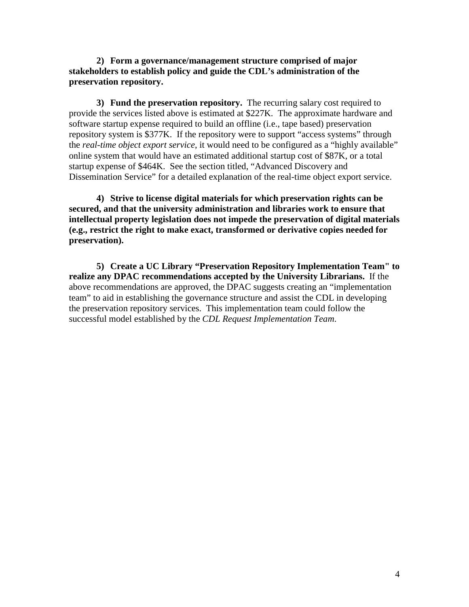**2) Form a governance/management structure comprised of major stakeholders to establish policy and guide the CDL's administration of the preservation repository.**

**3) Fund the preservation repository.** The recurring salary cost required to provide the services listed above is estimated at \$227K. The approximate hardware and software startup expense required to build an offline (i.e., tape based) preservation repository system is \$377K. If the repository were to support "access systems" through the *real-time object export service*, it would need to be configured as a "highly available" online system that would have an estimated additional startup cost of \$87K, or a total startup expense of \$464K. See the section titled, "Advanced Discovery and Dissemination Service" for a detailed explanation of the real-time object export service.

**4) Strive to license digital materials for which preservation rights can be secured, and that the university administration and libraries work to ensure that intellectual property legislation does not impede the preservation of digital materials (e.g., restrict the right to make exact, transformed or derivative copies needed for preservation).**

**5) Create a UC Library "Preservation Repository Implementation Team" to realize any DPAC recommendations accepted by the University Librarians.** If the above recommendations are approved, the DPAC suggests creating an "implementation team" to aid in establishing the governance structure and assist the CDL in developing the preservation repository services. This implementation team could follow the successful model established by the *CDL Request Implementation Team*.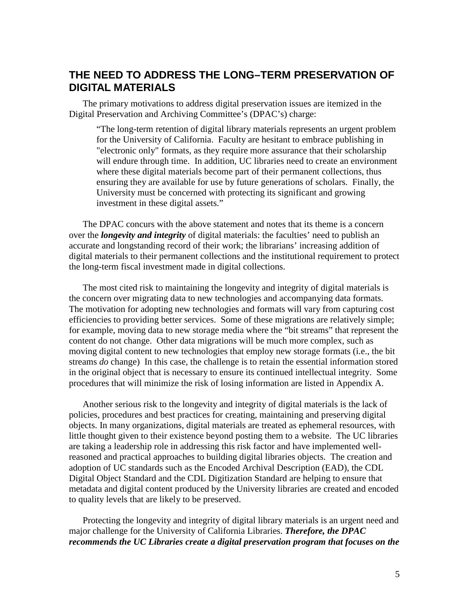# **THE NEED TO ADDRESS THE LONG–TERM PRESERVATION OF DIGITAL MATERIALS**

The primary motivations to address digital preservation issues are itemized in the Digital Preservation and Archiving Committee's (DPAC's) charge:

"The long-term retention of digital library materials represents an urgent problem for the University of California. Faculty are hesitant to embrace publishing in "electronic only" formats, as they require more assurance that their scholarship will endure through time. In addition, UC libraries need to create an environment where these digital materials become part of their permanent collections, thus ensuring they are available for use by future generations of scholars. Finally, the University must be concerned with protecting its significant and growing investment in these digital assets."

The DPAC concurs with the above statement and notes that its theme is a concern over the *longevity and integrity* of digital materials: the faculties' need to publish an accurate and longstanding record of their work; the librarians' increasing addition of digital materials to their permanent collections and the institutional requirement to protect the long-term fiscal investment made in digital collections.

The most cited risk to maintaining the longevity and integrity of digital materials is the concern over migrating data to new technologies and accompanying data formats. The motivation for adopting new technologies and formats will vary from capturing cost efficiencies to providing better services. Some of these migrations are relatively simple; for example, moving data to new storage media where the "bit streams" that represent the content do not change. Other data migrations will be much more complex, such as moving digital content to new technologies that employ new storage formats (i.e., the bit streams *do* change) In this case, the challenge is to retain the essential information stored in the original object that is necessary to ensure its continued intellectual integrity. Some procedures that will minimize the risk of losing information are listed in Appendix A.

Another serious risk to the longevity and integrity of digital materials is the lack of policies, procedures and best practices for creating, maintaining and preserving digital objects. In many organizations, digital materials are treated as ephemeral resources, with little thought given to their existence beyond posting them to a website. The UC libraries are taking a leadership role in addressing this risk factor and have implemented wellreasoned and practical approaches to building digital libraries objects. The creation and adoption of UC standards such as the Encoded Archival Description (EAD), the CDL Digital Object Standard and the CDL Digitization Standard are helping to ensure that metadata and digital content produced by the University libraries are created and encoded to quality levels that are likely to be preserved.

Protecting the longevity and integrity of digital library materials is an urgent need and major challenge for the University of California Libraries. *Therefore, the DPAC recommends the UC Libraries create a digital preservation program that focuses on the*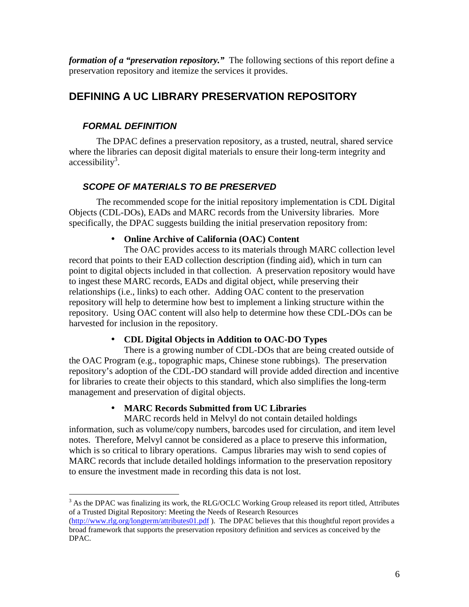*formation of a "preservation repository."* The following sections of this report define a preservation repository and itemize the services it provides.

# **DEFINING A UC LIBRARY PRESERVATION REPOSITORY**

# *FORMAL DEFINITION*

The DPAC defines a preservation repository, as a trusted, neutral, shared service where the libraries can deposit digital materials to ensure their long-term integrity and  $accessibility<sup>3</sup>$ .

# *SCOPE OF MATERIALS TO BE PRESERVED*

The recommended scope for the initial repository implementation is CDL Digital Objects (CDL-DOs), EADs and MARC records from the University libraries. More specifically, the DPAC suggests building the initial preservation repository from:

## • **Online Archive of California (OAC) Content**

The OAC provides access to its materials through MARC collection level record that points to their EAD collection description (finding aid), which in turn can point to digital objects included in that collection. A preservation repository would have to ingest these MARC records, EADs and digital object, while preserving their relationships (i.e., links) to each other. Adding OAC content to the preservation repository will help to determine how best to implement a linking structure within the repository. Using OAC content will also help to determine how these CDL-DOs can be harvested for inclusion in the repository.

## • **CDL Digital Objects in Addition to OAC-DO Types**

There is a growing number of CDL-DOs that are being created outside of the OAC Program (e.g., topographic maps, Chinese stone rubbings). The preservation repository's adoption of the CDL-DO standard will provide added direction and incentive for libraries to create their objects to this standard, which also simplifies the long-term management and preservation of digital objects.

## • **MARC Records Submitted from UC Libraries**

MARC records held in Melvyl do not contain detailed holdings information, such as volume/copy numbers, barcodes used for circulation, and item level notes. Therefore, Melvyl cannot be considered as a place to preserve this information, which is so critical to library operations. Campus libraries may wish to send copies of MARC records that include detailed holdings information to the preservation repository to ensure the investment made in recording this data is not lost.

 $\overline{a}$  $3$  As the DPAC was finalizing its work, the RLG/OCLC Working Group released its report titled, Attributes of a Trusted Digital Repository: Meeting the Needs of Research Resources

[<sup>\(</sup>http://www.rlg.org/longterm/attributes01.pdf](http://www.rlg.org/longterm/attributes01.pdf) ). The DPAC believes that this thoughtful report provides a broad framework that supports the preservation repository definition and services as conceived by the DPAC.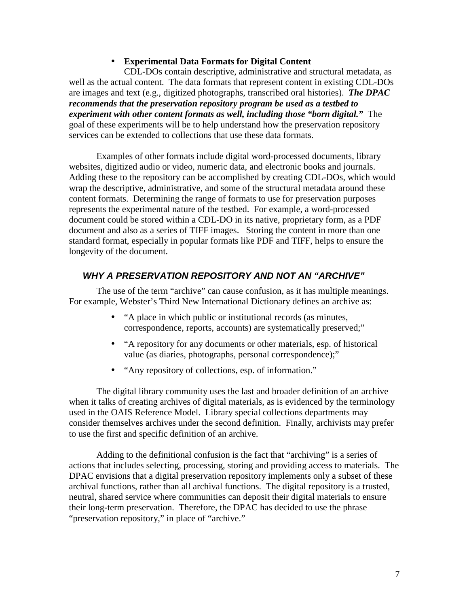#### • **Experimental Data Formats for Digital Content**

CDL-DOs contain descriptive, administrative and structural metadata, as well as the actual content. The data formats that represent content in existing CDL-DOs are images and text (e.g., digitized photographs, transcribed oral histories). *The DPAC recommends that the preservation repository program be used as a testbed to experiment with other content formats as well, including those "born digital."* The goal of these experiments will be to help understand how the preservation repository services can be extended to collections that use these data formats.

Examples of other formats include digital word-processed documents, library websites, digitized audio or video, numeric data, and electronic books and journals. Adding these to the repository can be accomplished by creating CDL-DOs, which would wrap the descriptive, administrative, and some of the structural metadata around these content formats. Determining the range of formats to use for preservation purposes represents the experimental nature of the testbed. For example, a word-processed document could be stored within a CDL-DO in its native, proprietary form, as a PDF document and also as a series of TIFF images. Storing the content in more than one standard format, especially in popular formats like PDF and TIFF, helps to ensure the longevity of the document.

### *WHY A PRESERVATION REPOSITORY AND NOT AN "ARCHIVE"*

The use of the term "archive" can cause confusion, as it has multiple meanings. For example, Webster's Third New International Dictionary defines an archive as:

- "A place in which public or institutional records (as minutes, correspondence, reports, accounts) are systematically preserved;"
- "A repository for any documents or other materials, esp. of historical value (as diaries, photographs, personal correspondence);"
- "Any repository of collections, esp. of information."

The digital library community uses the last and broader definition of an archive when it talks of creating archives of digital materials, as is evidenced by the terminology used in the OAIS Reference Model. Library special collections departments may consider themselves archives under the second definition. Finally, archivists may prefer to use the first and specific definition of an archive.

Adding to the definitional confusion is the fact that "archiving" is a series of actions that includes selecting, processing, storing and providing access to materials. The DPAC envisions that a digital preservation repository implements only a subset of these archival functions, rather than all archival functions. The digital repository is a trusted, neutral, shared service where communities can deposit their digital materials to ensure their long-term preservation. Therefore, the DPAC has decided to use the phrase "preservation repository," in place of "archive."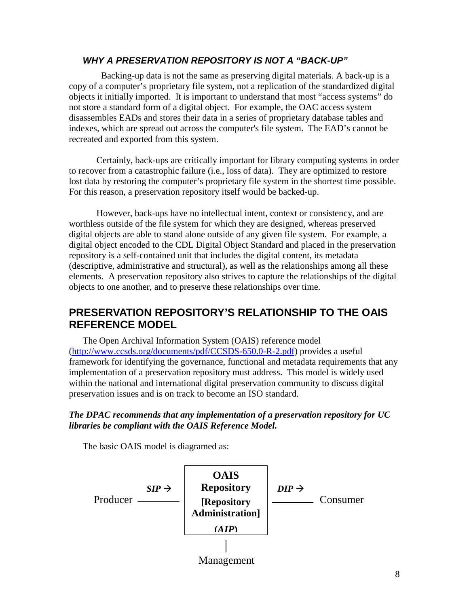## *WHY A PRESERVATION REPOSITORY IS NOT A "BACK-UP"*

 Backing-up data is not the same as preserving digital materials. A back-up is a copy of a computer's proprietary file system, not a replication of the standardized digital objects it initially imported. It is important to understand that most "access systems" do not store a standard form of a digital object. For example, the OAC access system disassembles EADs and stores their data in a series of proprietary database tables and indexes, which are spread out across the computer's file system. The EAD's cannot be recreated and exported from this system.

Certainly, back-ups are critically important for library computing systems in order to recover from a catastrophic failure (i.e., loss of data). They are optimized to restore lost data by restoring the computer's proprietary file system in the shortest time possible. For this reason, a preservation repository itself would be backed-up.

However, back-ups have no intellectual intent, context or consistency, and are worthless outside of the file system for which they are designed, whereas preserved digital objects are able to stand alone outside of any given file system. For example, a digital object encoded to the CDL Digital Object Standard and placed in the preservation repository is a self-contained unit that includes the digital content, its metadata (descriptive, administrative and structural), as well as the relationships among all these elements. A preservation repository also strives to capture the relationships of the digital objects to one another, and to preserve these relationships over time.

# **PRESERVATION REPOSITORY'S RELATIONSHIP TO THE OAIS REFERENCE MODEL**

The Open Archival Information System (OAIS) reference model [\(http://www.ccsds.org/documents/pdf/CCSDS-650.0-R-2.pdf\)](http://www.ccsds.org/documents/pdf/CCSDS-650.0-R-2.pdf) provides a useful framework for identifying the governance, functional and metadata requirements that any implementation of a preservation repository must address. This model is widely used within the national and international digital preservation community to discuss digital preservation issues and is on track to become an ISO standard.

### *The DPAC recommends that any implementation of a preservation repository for UC libraries be compliant with the OAIS Reference Model.*

The basic OAIS model is diagramed as:

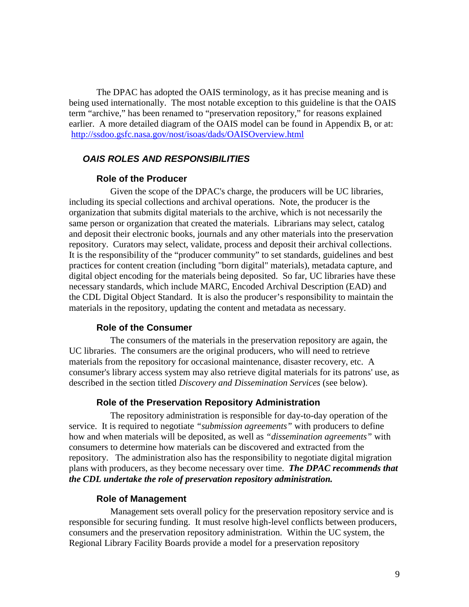The DPAC has adopted the OAIS terminology, as it has precise meaning and is being used internationally. The most notable exception to this guideline is that the OAIS term "archive," has been renamed to "preservation repository," for reasons explained earlier. A more detailed diagram of the OAIS model can be found in Appendix B, or at: <http://ssdoo.gsfc.nasa.gov/nost/isoas/dads/OAISOverview.html>

#### *OAIS ROLES AND RESPONSIBILITIES*

#### **Role of the Producer**

Given the scope of the DPAC's charge, the producers will be UC libraries, including its special collections and archival operations. Note, the producer is the organization that submits digital materials to the archive, which is not necessarily the same person or organization that created the materials. Librarians may select, catalog and deposit their electronic books, journals and any other materials into the preservation repository. Curators may select, validate, process and deposit their archival collections. It is the responsibility of the "producer community" to set standards, guidelines and best practices for content creation (including "born digital" materials), metadata capture, and digital object encoding for the materials being deposited. So far, UC libraries have these necessary standards, which include MARC, Encoded Archival Description (EAD) and the CDL Digital Object Standard. It is also the producer's responsibility to maintain the materials in the repository, updating the content and metadata as necessary.

#### **Role of the Consumer**

The consumers of the materials in the preservation repository are again, the UC libraries. The consumers are the original producers, who will need to retrieve materials from the repository for occasional maintenance, disaster recovery, etc. A consumer's library access system may also retrieve digital materials for its patrons' use, as described in the section titled *Discovery and Dissemination Services* (see below).

#### **Role of the Preservation Repository Administration**

The repository administration is responsible for day-to-day operation of the service. It is required to negotiate *"submission agreements"* with producers to define how and when materials will be deposited, as well as *"dissemination agreements"* with consumers to determine how materials can be discovered and extracted from the repository. The administration also has the responsibility to negotiate digital migration plans with producers, as they become necessary over time. *The DPAC recommends that the CDL undertake the role of preservation repository administration.*

#### **Role of Management**

Management sets overall policy for the preservation repository service and is responsible for securing funding. It must resolve high-level conflicts between producers, consumers and the preservation repository administration. Within the UC system, the Regional Library Facility Boards provide a model for a preservation repository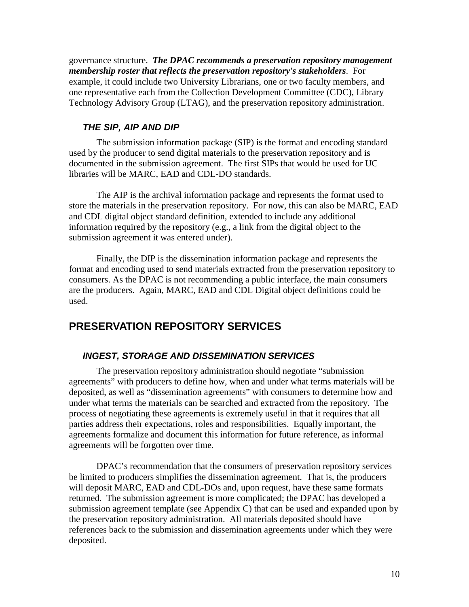governance structure. *The DPAC recommends a preservation repository management membership roster that reflects the preservation repository's stakeholders*. For example, it could include two University Librarians, one or two faculty members, and one representative each from the Collection Development Committee (CDC), Library Technology Advisory Group (LTAG), and the preservation repository administration.

#### *THE SIP, AIP AND DIP*

The submission information package (SIP) is the format and encoding standard used by the producer to send digital materials to the preservation repository and is documented in the submission agreement. The first SIPs that would be used for UC libraries will be MARC, EAD and CDL-DO standards.

The AIP is the archival information package and represents the format used to store the materials in the preservation repository. For now, this can also be MARC, EAD and CDL digital object standard definition, extended to include any additional information required by the repository (e.g., a link from the digital object to the submission agreement it was entered under).

Finally, the DIP is the dissemination information package and represents the format and encoding used to send materials extracted from the preservation repository to consumers. As the DPAC is not recommending a public interface, the main consumers are the producers. Again, MARC, EAD and CDL Digital object definitions could be used.

# **PRESERVATION REPOSITORY SERVICES**

#### *INGEST, STORAGE AND DISSEMINATION SERVICES*

The preservation repository administration should negotiate "submission agreements" with producers to define how, when and under what terms materials will be deposited, as well as "dissemination agreements" with consumers to determine how and under what terms the materials can be searched and extracted from the repository. The process of negotiating these agreements is extremely useful in that it requires that all parties address their expectations, roles and responsibilities. Equally important, the agreements formalize and document this information for future reference, as informal agreements will be forgotten over time.

DPAC's recommendation that the consumers of preservation repository services be limited to producers simplifies the dissemination agreement. That is, the producers will deposit MARC, EAD and CDL-DOs and, upon request, have these same formats returned. The submission agreement is more complicated; the DPAC has developed a submission agreement template (see Appendix C) that can be used and expanded upon by the preservation repository administration. All materials deposited should have references back to the submission and dissemination agreements under which they were deposited.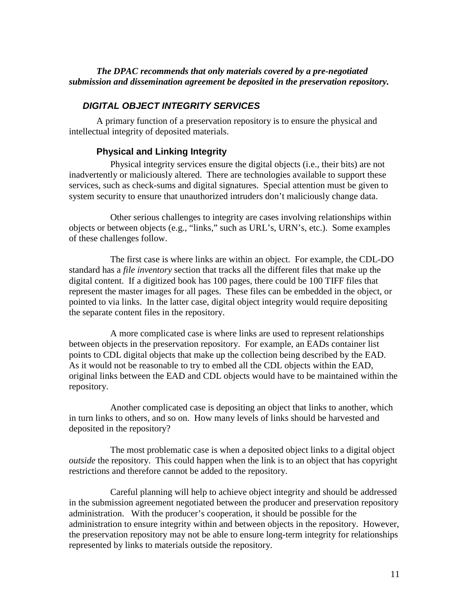### *The DPAC recommends that only materials covered by a pre-negotiated submission and dissemination agreement be deposited in the preservation repository.*

## *DIGITAL OBJECT INTEGRITY SERVICES*

A primary function of a preservation repository is to ensure the physical and intellectual integrity of deposited materials.

### **Physical and Linking Integrity**

Physical integrity services ensure the digital objects (i.e., their bits) are not inadvertently or maliciously altered. There are technologies available to support these services, such as check-sums and digital signatures. Special attention must be given to system security to ensure that unauthorized intruders don't maliciously change data.

Other serious challenges to integrity are cases involving relationships within objects or between objects (e.g., "links," such as URL's, URN's, etc.). Some examples of these challenges follow.

The first case is where links are within an object. For example, the CDL-DO standard has a *file inventory* section that tracks all the different files that make up the digital content. If a digitized book has 100 pages, there could be 100 TIFF files that represent the master images for all pages. These files can be embedded in the object, or pointed to via links. In the latter case, digital object integrity would require depositing the separate content files in the repository.

A more complicated case is where links are used to represent relationships between objects in the preservation repository. For example, an EADs container list points to CDL digital objects that make up the collection being described by the EAD. As it would not be reasonable to try to embed all the CDL objects within the EAD, original links between the EAD and CDL objects would have to be maintained within the repository.

Another complicated case is depositing an object that links to another, which in turn links to others, and so on. How many levels of links should be harvested and deposited in the repository?

The most problematic case is when a deposited object links to a digital object *outside* the repository. This could happen when the link is to an object that has copyright restrictions and therefore cannot be added to the repository.

Careful planning will help to achieve object integrity and should be addressed in the submission agreement negotiated between the producer and preservation repository administration. With the producer's cooperation, it should be possible for the administration to ensure integrity within and between objects in the repository. However, the preservation repository may not be able to ensure long-term integrity for relationships represented by links to materials outside the repository.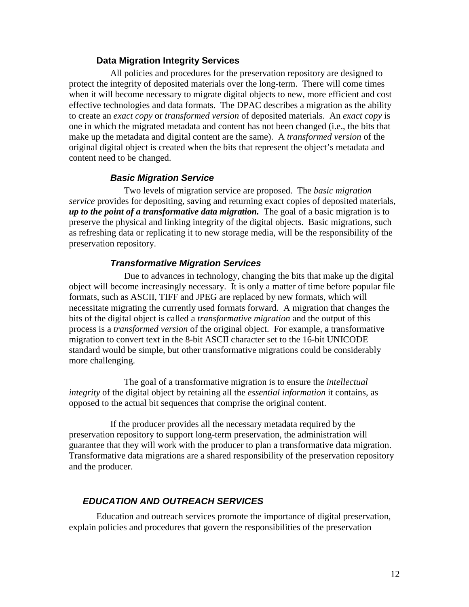#### **Data Migration Integrity Services**

All policies and procedures for the preservation repository are designed to protect the integrity of deposited materials over the long-term. There will come times when it will become necessary to migrate digital objects to new, more efficient and cost effective technologies and data formats. The DPAC describes a migration as the ability to create an *exact copy* or *transformed version* of deposited materials. An *exact copy* is one in which the migrated metadata and content has not been changed (i.e., the bits that make up the metadata and digital content are the same). A *transformed version* of the original digital object is created when the bits that represent the object's metadata and content need to be changed.

#### *Basic Migration Service*

Two levels of migration service are proposed. The *basic migration service* provides for depositing, saving and returning exact copies of deposited materials, *up to the point of a transformative data migration.* The goal of a basic migration is to preserve the physical and linking integrity of the digital objects. Basic migrations, such as refreshing data or replicating it to new storage media, will be the responsibility of the preservation repository.

#### *Transformative Migration Services*

Due to advances in technology, changing the bits that make up the digital object will become increasingly necessary. It is only a matter of time before popular file formats, such as ASCII, TIFF and JPEG are replaced by new formats, which will necessitate migrating the currently used formats forward. A migration that changes the bits of the digital object is called a *transformative migration* and the output of this process is a *transformed version* of the original object. For example, a transformative migration to convert text in the 8-bit ASCII character set to the 16-bit UNICODE standard would be simple, but other transformative migrations could be considerably more challenging.

The goal of a transformative migration is to ensure the *intellectual integrity* of the digital object by retaining all the *essential information* it contains, as opposed to the actual bit sequences that comprise the original content.

If the producer provides all the necessary metadata required by the preservation repository to support long-term preservation, the administration will guarantee that they will work with the producer to plan a transformative data migration. Transformative data migrations are a shared responsibility of the preservation repository and the producer.

#### *EDUCATION AND OUTREACH SERVICES*

Education and outreach services promote the importance of digital preservation, explain policies and procedures that govern the responsibilities of the preservation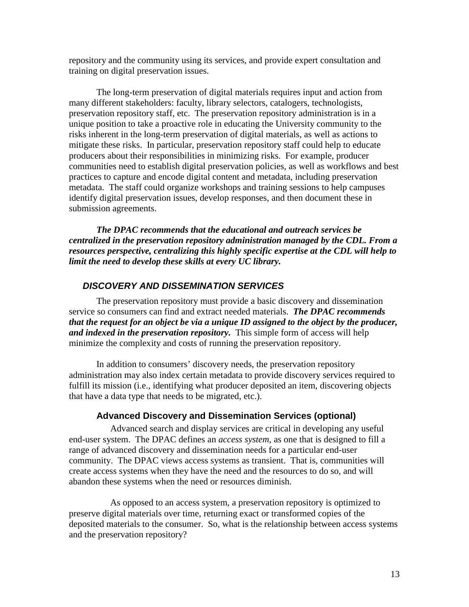repository and the community using its services, and provide expert consultation and training on digital preservation issues.

The long-term preservation of digital materials requires input and action from many different stakeholders: faculty, library selectors, catalogers, technologists, preservation repository staff, etc. The preservation repository administration is in a unique position to take a proactive role in educating the University community to the risks inherent in the long-term preservation of digital materials, as well as actions to mitigate these risks. In particular, preservation repository staff could help to educate producers about their responsibilities in minimizing risks. For example, producer communities need to establish digital preservation policies, as well as workflows and best practices to capture and encode digital content and metadata, including preservation metadata. The staff could organize workshops and training sessions to help campuses identify digital preservation issues, develop responses, and then document these in submission agreements.

*The DPAC recommends that the educational and outreach services be centralized in the preservation repository administration managed by the CDL. From a resources perspective, centralizing this highly specific expertise at the CDL will help to limit the need to develop these skills at every UC library.*

#### *DISCOVERY AND DISSEMINATION SERVICES*

The preservation repository must provide a basic discovery and dissemination service so consumers can find and extract needed materials. *The DPAC recommends that the request for an object be via a unique ID assigned to the object by the producer, and indexed in the preservation repository.* This simple form of access will help minimize the complexity and costs of running the preservation repository.

In addition to consumers' discovery needs, the preservation repository administration may also index certain metadata to provide discovery services required to fulfill its mission (i.e., identifying what producer deposited an item, discovering objects that have a data type that needs to be migrated, etc.).

#### **Advanced Discovery and Dissemination Services (optional)**

Advanced search and display services are critical in developing any useful end-user system. The DPAC defines an *access system*, as one that is designed to fill a range of advanced discovery and dissemination needs for a particular end-user community. The DPAC views access systems as transient. That is, communities will create access systems when they have the need and the resources to do so, and will abandon these systems when the need or resources diminish.

As opposed to an access system, a preservation repository is optimized to preserve digital materials over time, returning exact or transformed copies of the deposited materials to the consumer. So, what is the relationship between access systems and the preservation repository?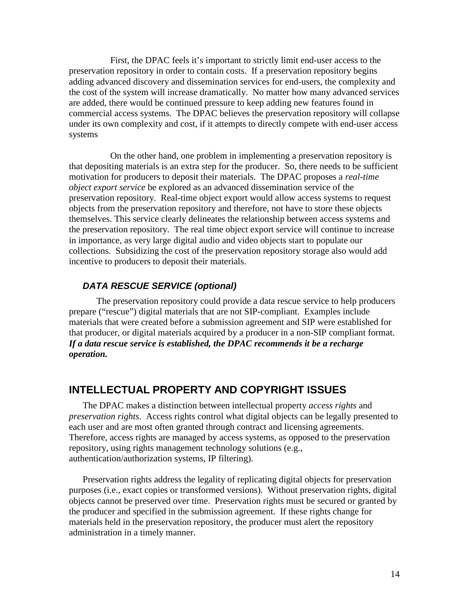First, the DPAC feels it's important to strictly limit end-user access to the preservation repository in order to contain costs. If a preservation repository begins adding advanced discovery and dissemination services for end-users, the complexity and the cost of the system will increase dramatically. No matter how many advanced services are added, there would be continued pressure to keep adding new features found in commercial access systems. The DPAC believes the preservation repository will collapse under its own complexity and cost, if it attempts to directly compete with end-user access systems

On the other hand, one problem in implementing a preservation repository is that depositing materials is an extra step for the producer. So, there needs to be sufficient motivation for producers to deposit their materials. The DPAC proposes a *real-time object export service* be explored as an advanced dissemination service of the preservation repository. Real-time object export would allow access systems to request objects from the preservation repository and therefore, not have to store these objects themselves. This service clearly delineates the relationship between access systems and the preservation repository. The real time object export service will continue to increase in importance, as very large digital audio and video objects start to populate our collections. Subsidizing the cost of the preservation repository storage also would add incentive to producers to deposit their materials.

### *DATA RESCUE SERVICE (optional)*

The preservation repository could provide a data rescue service to help producers prepare ("rescue") digital materials that are not SIP-compliant. Examples include materials that were created before a submission agreement and SIP were established for that producer, or digital materials acquired by a producer in a non-SIP compliant format. *If a data rescue service is established, the DPAC recommends it be a recharge operation.*

# **INTELLECTUAL PROPERTY AND COPYRIGHT ISSUES**

The DPAC makes a distinction between intellectual property *access rights* and *preservation rights*. Access rights control what digital objects can be legally presented to each user and are most often granted through contract and licensing agreements. Therefore, access rights are managed by access systems, as opposed to the preservation repository, using rights management technology solutions (e.g., authentication/authorization systems, IP filtering).

Preservation rights address the legality of replicating digital objects for preservation purposes (i.e., exact copies or transformed versions). Without preservation rights, digital objects cannot be preserved over time. Preservation rights must be secured or granted by the producer and specified in the submission agreement. If these rights change for materials held in the preservation repository, the producer must alert the repository administration in a timely manner.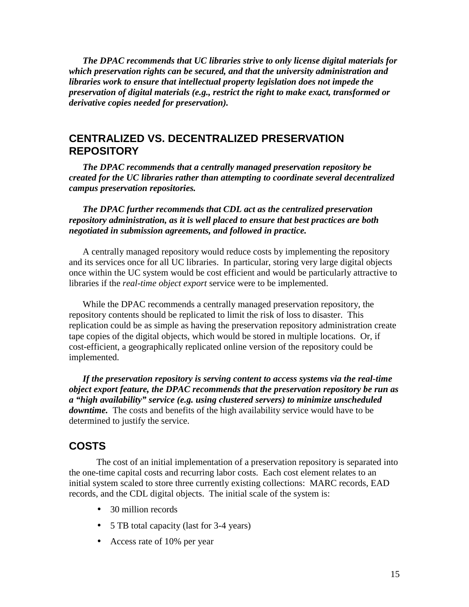*The DPAC recommends that UC libraries strive to only license digital materials for which preservation rights can be secured, and that the university administration and libraries work to ensure that intellectual property legislation does not impede the preservation of digital materials (e.g., restrict the right to make exact, transformed or derivative copies needed for preservation).*

## **CENTRALIZED VS. DECENTRALIZED PRESERVATION REPOSITORY**

*The DPAC recommends that a centrally managed preservation repository be created for the UC libraries rather than attempting to coordinate several decentralized campus preservation repositories.*

*The DPAC further recommends that CDL act as the centralized preservation repository administration, as it is well placed to ensure that best practices are both negotiated in submission agreements, and followed in practice.*

A centrally managed repository would reduce costs by implementing the repository and its services once for all UC libraries. In particular, storing very large digital objects once within the UC system would be cost efficient and would be particularly attractive to libraries if the *real-time object export* service were to be implemented.

While the DPAC recommends a centrally managed preservation repository, the repository contents should be replicated to limit the risk of loss to disaster. This replication could be as simple as having the preservation repository administration create tape copies of the digital objects, which would be stored in multiple locations. Or, if cost-efficient, a geographically replicated online version of the repository could be implemented.

*If the preservation repository is serving content to access systems via the real-time object export feature, the DPAC recommends that the preservation repository be run as a "high availability" service (e.g. using clustered servers) to minimize unscheduled downtime.* The costs and benefits of the high availability service would have to be determined to justify the service.

# **COSTS**

The cost of an initial implementation of a preservation repository is separated into the one-time capital costs and recurring labor costs. Each cost element relates to an initial system scaled to store three currently existing collections: MARC records, EAD records, and the CDL digital objects. The initial scale of the system is:

- 30 million records
- 5 TB total capacity (last for 3-4 years)
- Access rate of 10% per year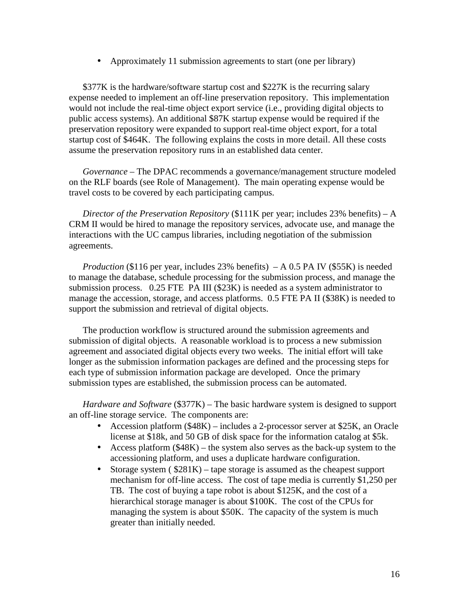• Approximately 11 submission agreements to start (one per library)

\$377K is the hardware/software startup cost and \$227K is the recurring salary expense needed to implement an off-line preservation repository. This implementation would not include the real-time object export service (i.e., providing digital objects to public access systems). An additional \$87K startup expense would be required if the preservation repository were expanded to support real-time object export, for a total startup cost of \$464K. The following explains the costs in more detail. All these costs assume the preservation repository runs in an established data center.

*Governance* – The DPAC recommends a governance/management structure modeled on the RLF boards (see Role of Management). The main operating expense would be travel costs to be covered by each participating campus.

*Director of the Preservation Repository* (\$111K per year; includes 23% benefits) – A CRM II would be hired to manage the repository services, advocate use, and manage the interactions with the UC campus libraries, including negotiation of the submission agreements.

*Production* (\$116 per year, includes 23% benefits) – A 0.5 PA IV (\$55K) is needed to manage the database, schedule processing for the submission process, and manage the submission process. 0.25 FTE PA III (\$23K) is needed as a system administrator to manage the accession, storage, and access platforms. 0.5 FTE PA II (\$38K) is needed to support the submission and retrieval of digital objects.

The production workflow is structured around the submission agreements and submission of digital objects. A reasonable workload is to process a new submission agreement and associated digital objects every two weeks. The initial effort will take longer as the submission information packages are defined and the processing steps for each type of submission information package are developed. Once the primary submission types are established, the submission process can be automated.

*Hardware and Software* (\$377K) – The basic hardware system is designed to support an off-line storage service. The components are:

- Accession platform (\$48K) includes a 2-processor server at \$25K, an Oracle license at \$18k, and 50 GB of disk space for the information catalog at \$5k.
- Access platform (\$48K) the system also serves as the back-up system to the accessioning platform, and uses a duplicate hardware configuration.
- Storage system ( $$281K$ ) tape storage is assumed as the cheapest support mechanism for off-line access. The cost of tape media is currently \$1,250 per TB. The cost of buying a tape robot is about \$125K, and the cost of a hierarchical storage manager is about \$100K. The cost of the CPUs for managing the system is about \$50K. The capacity of the system is much greater than initially needed.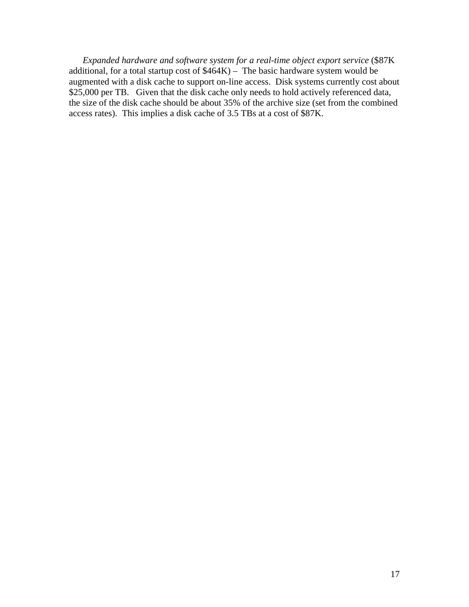*Expanded hardware and software system for a real-time object export service* (\$87K additional, for a total startup cost of  $$464K$ ) – The basic hardware system would be augmented with a disk cache to support on-line access. Disk systems currently cost about \$25,000 per TB. Given that the disk cache only needs to hold actively referenced data, the size of the disk cache should be about 35% of the archive size (set from the combined access rates). This implies a disk cache of 3.5 TBs at a cost of \$87K.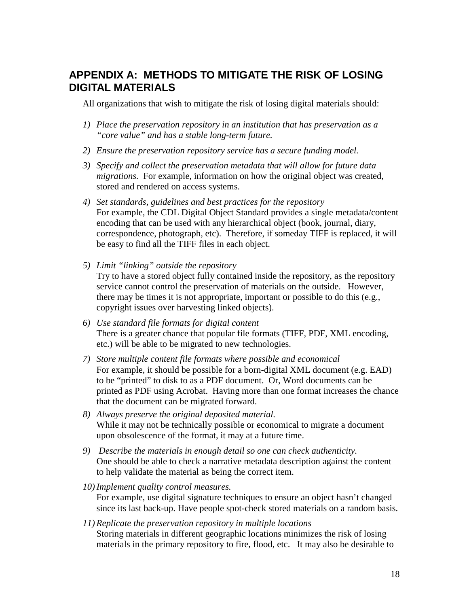# **APPENDIX A: METHODS TO MITIGATE THE RISK OF LOSING DIGITAL MATERIALS**

All organizations that wish to mitigate the risk of losing digital materials should:

- *1) Place the preservation repository in an institution that has preservation as a "core value" and has a stable long-term future.*
- *2) Ensure the preservation repository service has a secure funding model.*
- *3) Specify and collect the preservation metadata that will allow for future data migrations.* For example, information on how the original object was created, stored and rendered on access systems.
- *4) Set standards, guidelines and best practices for the repository* For example, the CDL Digital Object Standard provides a single metadata/content encoding that can be used with any hierarchical object (book, journal, diary, correspondence, photograph, etc). Therefore, if someday TIFF is replaced, it will be easy to find all the TIFF files in each object.
- *5) Limit "linking" outside the repository* Try to have a stored object fully contained inside the repository, as the repository service cannot control the preservation of materials on the outside. However, there may be times it is not appropriate, important or possible to do this (e.g., copyright issues over harvesting linked objects).
- *6) Use standard file formats for digital content* There is a greater chance that popular file formats (TIFF, PDF, XML encoding, etc.) will be able to be migrated to new technologies.
- *7) Store multiple content file formats where possible and economical* For example, it should be possible for a born-digital XML document (e.g. EAD) to be "printed" to disk to as a PDF document. Or, Word documents can be printed as PDF using Acrobat. Having more than one format increases the chance that the document can be migrated forward.
- *8) Always preserve the original deposited material.* While it may not be technically possible or economical to migrate a document upon obsolescence of the format, it may at a future time.
- *9) Describe the materials in enough detail so one can check authenticity.* One should be able to check a narrative metadata description against the content to help validate the material as being the correct item.
- *10) Implement quality control measures.* For example, use digital signature techniques to ensure an object hasn't changed since its last back-up. Have people spot-check stored materials on a random basis.
- *11) Replicate the preservation repository in multiple locations* Storing materials in different geographic locations minimizes the risk of losing materials in the primary repository to fire, flood, etc. It may also be desirable to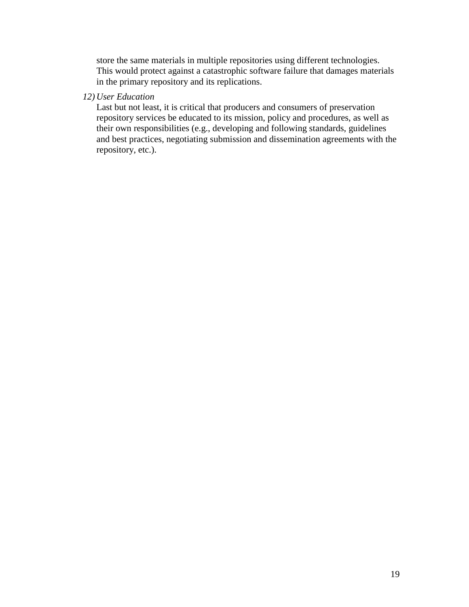store the same materials in multiple repositories using different technologies. This would protect against a catastrophic software failure that damages materials in the primary repository and its replications.

#### *12) User Education*

Last but not least, it is critical that producers and consumers of preservation repository services be educated to its mission, policy and procedures, as well as their own responsibilities (e.g., developing and following standards, guidelines and best practices, negotiating submission and dissemination agreements with the repository, etc.).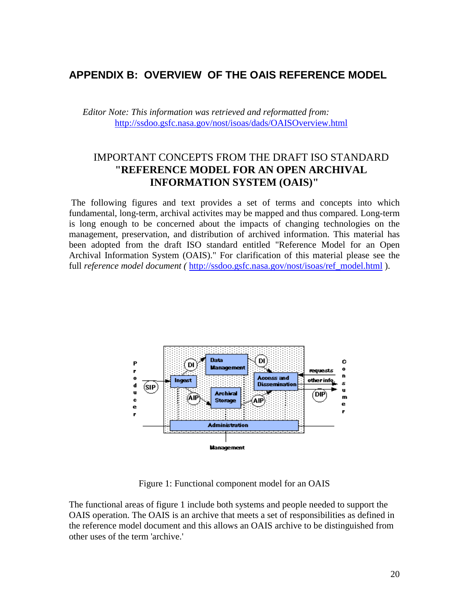# **APPENDIX B: OVERVIEW OF THE OAIS REFERENCE MODEL**

*Editor Note: This information was retrieved and reformatted from:* <http://ssdoo.gsfc.nasa.gov/nost/isoas/dads/OAISOverview.html>

# IMPORTANT CONCEPTS FROM THE DRAFT ISO STANDARD **"REFERENCE MODEL FOR AN OPEN ARCHIVAL INFORMATION SYSTEM (OAIS)"**

 The following figures and text provides a set of terms and concepts into which fundamental, long-term, archival activites may be mapped and thus compared. Long-term is long enough to be concerned about the impacts of changing technologies on the management, preservation, and distribution of archived information. This material has been adopted from the draft ISO standard entitled "Reference Model for an Open Archival Information System (OAIS)." For clarification of this material please see the full *reference model document* ( [http://ssdoo.gsfc.nasa.gov/nost/isoas/ref\\_model.html](http://ssdoo.gsfc.nasa.gov/nost/isoas/ref_model.html) ).



Figure 1: Functional component model for an OAIS

The functional areas of figure 1 include both systems and people needed to support the OAIS operation. The OAIS is an archive that meets a set of responsibilities as defined in the reference model document and this allows an OAIS archive to be distinguished from other uses of the term 'archive.'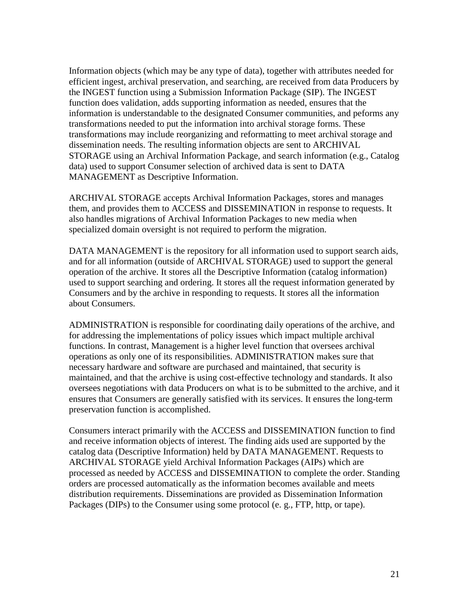Information objects (which may be any type of data), together with attributes needed for efficient ingest, archival preservation, and searching, are received from data Producers by the INGEST function using a Submission Information Package (SIP). The INGEST function does validation, adds supporting information as needed, ensures that the information is understandable to the designated Consumer communities, and peforms any transformations needed to put the information into archival storage forms. These transformations may include reorganizing and reformatting to meet archival storage and dissemination needs. The resulting information objects are sent to ARCHIVAL STORAGE using an Archival Information Package, and search information (e.g., Catalog data) used to support Consumer selection of archived data is sent to DATA MANAGEMENT as Descriptive Information.

ARCHIVAL STORAGE accepts Archival Information Packages, stores and manages them, and provides them to ACCESS and DISSEMINATION in response to requests. It also handles migrations of Archival Information Packages to new media when specialized domain oversight is not required to perform the migration.

DATA MANAGEMENT is the repository for all information used to support search aids, and for all information (outside of ARCHIVAL STORAGE) used to support the general operation of the archive. It stores all the Descriptive Information (catalog information) used to support searching and ordering. It stores all the request information generated by Consumers and by the archive in responding to requests. It stores all the information about Consumers.

ADMINISTRATION is responsible for coordinating daily operations of the archive, and for addressing the implementations of policy issues which impact multiple archival functions. In contrast, Management is a higher level function that oversees archival operations as only one of its responsibilities. ADMINISTRATION makes sure that necessary hardware and software are purchased and maintained, that security is maintained, and that the archive is using cost-effective technology and standards. It also oversees negotiations with data Producers on what is to be submitted to the archive, and it ensures that Consumers are generally satisfied with its services. It ensures the long-term preservation function is accomplished.

Consumers interact primarily with the ACCESS and DISSEMINATION function to find and receive information objects of interest. The finding aids used are supported by the catalog data (Descriptive Information) held by DATA MANAGEMENT. Requests to ARCHIVAL STORAGE yield Archival Information Packages (AIPs) which are processed as needed by ACCESS and DISSEMINATION to complete the order. Standing orders are processed automatically as the information becomes available and meets distribution requirements. Disseminations are provided as Dissemination Information Packages (DIPs) to the Consumer using some protocol (e. g., FTP, http, or tape).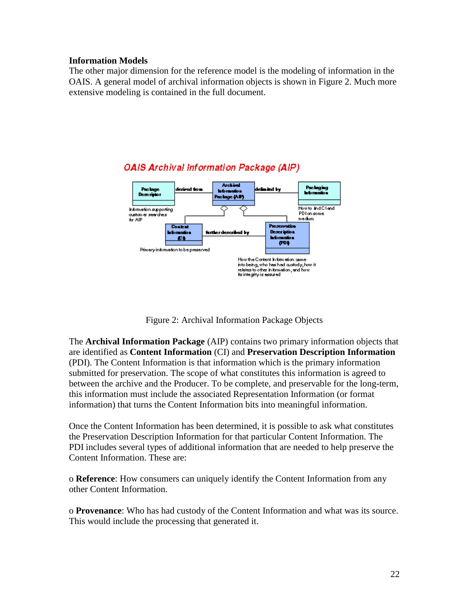#### **Information Models**

The other major dimension for the reference model is the modeling of information in the OAIS. A general model of archival information objects is shown in Figure 2. Much more extensive modeling is contained in the full document.



## **OAIS Archival Information Package (AIP)**

Figure 2: Archival Information Package Objects

The **Archival Information Package** (AIP) contains two primary information objects that are identified as **Content Information** (CI) and **Preservation Description Information** (PDI). The Content Information is that information which is the primary information submitted for preservation. The scope of what constitutes this information is agreed to between the archive and the Producer. To be complete, and preservable for the long-term, this information must include the associated Representation Information (or format information) that turns the Content Information bits into meaningful information.

Once the Content Information has been determined, it is possible to ask what constitutes the Preservation Description Information for that particular Content Information. The PDI includes several types of additional information that are needed to help preserve the Content Information. These are:

o **Reference**: How consumers can uniquely identify the Content Information from any other Content Information.

o **Provenance**: Who has had custody of the Content Information and what was its source. This would include the processing that generated it.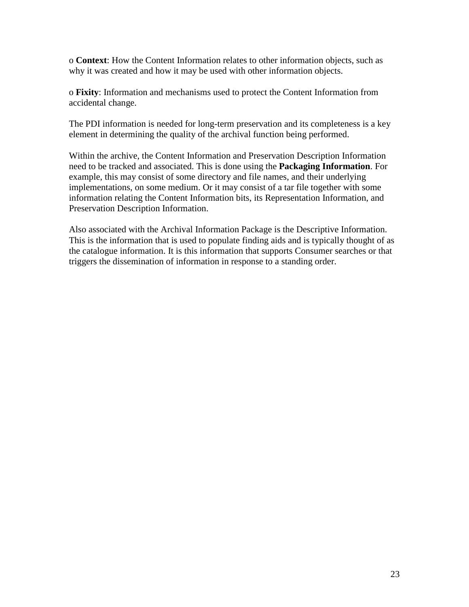o **Context**: How the Content Information relates to other information objects, such as why it was created and how it may be used with other information objects.

o **Fixity**: Information and mechanisms used to protect the Content Information from accidental change.

The PDI information is needed for long-term preservation and its completeness is a key element in determining the quality of the archival function being performed.

Within the archive, the Content Information and Preservation Description Information need to be tracked and associated. This is done using the **Packaging Information**. For example, this may consist of some directory and file names, and their underlying implementations, on some medium. Or it may consist of a tar file together with some information relating the Content Information bits, its Representation Information, and Preservation Description Information.

Also associated with the Archival Information Package is the Descriptive Information. This is the information that is used to populate finding aids and is typically thought of as the catalogue information. It is this information that supports Consumer searches or that triggers the dissemination of information in response to a standing order.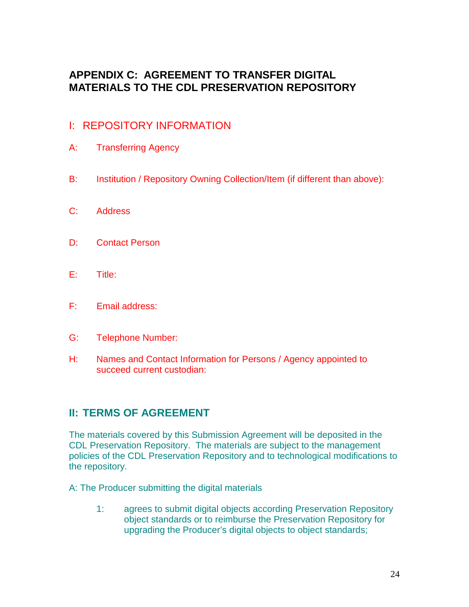# **APPENDIX C: AGREEMENT TO TRANSFER DIGITAL MATERIALS TO THE CDL PRESERVATION REPOSITORY**

# I: REPOSITORY INFORMATION

- A: Transferring Agency
- B: Institution / Repository Owning Collection/Item (if different than above):
- C: Address
- D: Contact Person
- E: Title:
- F: Email address:
- G: Telephone Number:
- H: Names and Contact Information for Persons / Agency appointed to succeed current custodian:

# **II: TERMS OF AGREEMENT**

The materials covered by this Submission Agreement will be deposited in the CDL Preservation Repository. The materials are subject to the management policies of the CDL Preservation Repository and to technological modifications to the repository.

A: The Producer submitting the digital materials

1: agrees to submit digital objects according Preservation Repository object standards or to reimburse the Preservation Repository for upgrading the Producer's digital objects to object standards;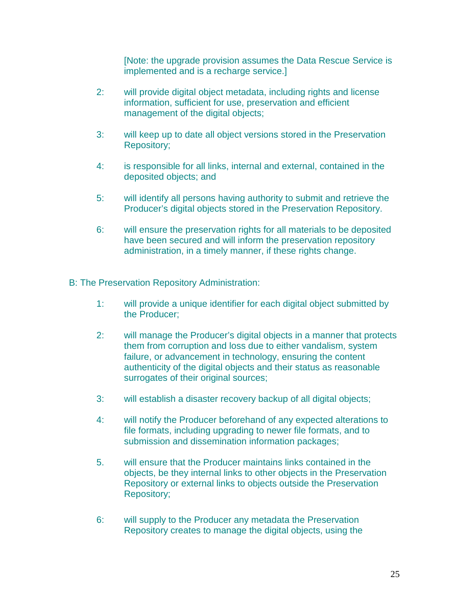[Note: the upgrade provision assumes the Data Rescue Service is implemented and is a recharge service.]

- 2: will provide digital object metadata, including rights and license information, sufficient for use, preservation and efficient management of the digital objects;
- 3: will keep up to date all object versions stored in the Preservation Repository;
- 4: is responsible for all links, internal and external, contained in the deposited objects; and
- 5: will identify all persons having authority to submit and retrieve the Producer's digital objects stored in the Preservation Repository.
- 6: will ensure the preservation rights for all materials to be deposited have been secured and will inform the preservation repository administration, in a timely manner, if these rights change.

B: The Preservation Repository Administration:

- 1: will provide a unique identifier for each digital object submitted by the Producer;
- 2: will manage the Producer's digital objects in a manner that protects them from corruption and loss due to either vandalism, system failure, or advancement in technology, ensuring the content authenticity of the digital objects and their status as reasonable surrogates of their original sources;
- 3: will establish a disaster recovery backup of all digital objects;
- 4: will notify the Producer beforehand of any expected alterations to file formats, including upgrading to newer file formats, and to submission and dissemination information packages;
- 5. will ensure that the Producer maintains links contained in the objects, be they internal links to other objects in the Preservation Repository or external links to objects outside the Preservation Repository;
- 6: will supply to the Producer any metadata the Preservation Repository creates to manage the digital objects, using the